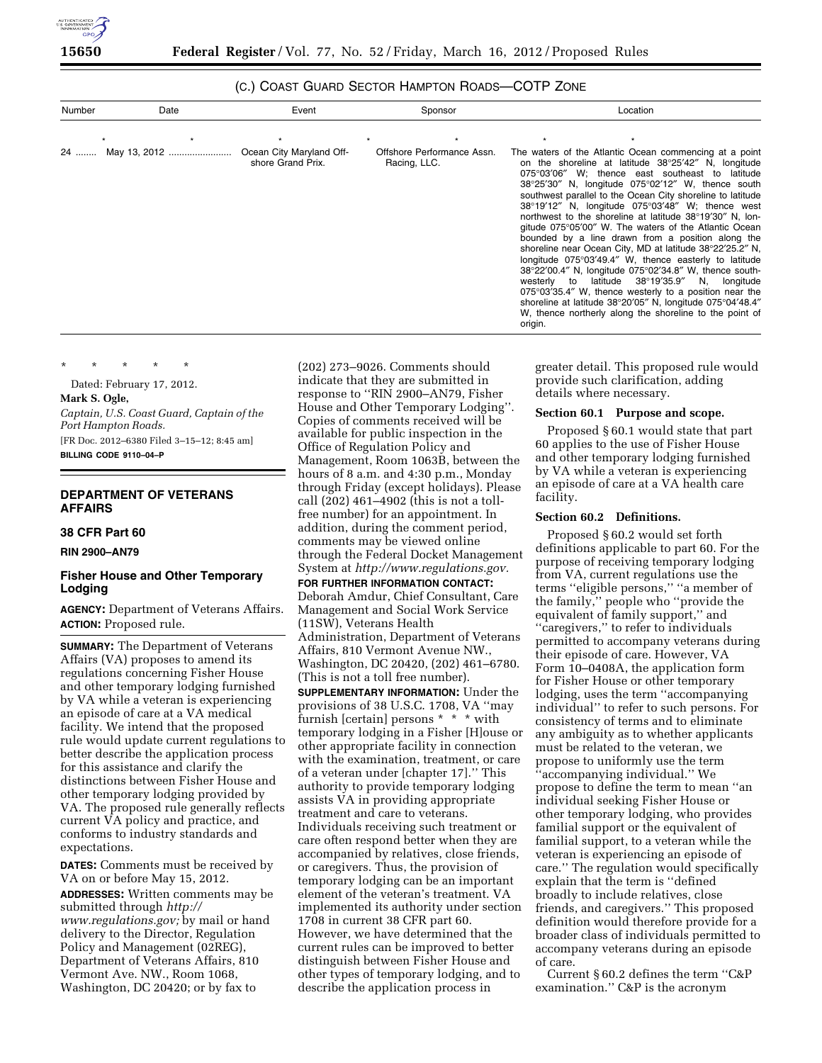

# (C.) COAST GUARD SECTOR HAMPTON ROADS—COTP ZONE

| Number | Date         | Event                                         | Sponsor                                    | Location                                                                                                                                                                                                                                                                                                                                                                                                                                                                                                                                                                                                                                                                                                                                                                                                                                                                                                                                                                                                                             |
|--------|--------------|-----------------------------------------------|--------------------------------------------|--------------------------------------------------------------------------------------------------------------------------------------------------------------------------------------------------------------------------------------------------------------------------------------------------------------------------------------------------------------------------------------------------------------------------------------------------------------------------------------------------------------------------------------------------------------------------------------------------------------------------------------------------------------------------------------------------------------------------------------------------------------------------------------------------------------------------------------------------------------------------------------------------------------------------------------------------------------------------------------------------------------------------------------|
|        |              |                                               |                                            |                                                                                                                                                                                                                                                                                                                                                                                                                                                                                                                                                                                                                                                                                                                                                                                                                                                                                                                                                                                                                                      |
| 24     | May 13, 2012 | Ocean City Maryland Off-<br>shore Grand Prix. | Offshore Performance Assn.<br>Racing, LLC. | The waters of the Atlantic Ocean commencing at a point<br>on the shoreline at latitude 38°25'42" N, longitude<br>W; thence east southeast to<br>$075^{\circ}03'06''$<br>latitude<br>$38^{\circ}25'30''$ N, longitude $075^{\circ}02'12''$ W, thence south<br>southwest parallel to the Ocean City shoreline to latitude<br>$38^{\circ}19'12''$ N, longitude $075^{\circ}03'48''$ W; thence west<br>northwest to the shoreline at latitude 38°19'30" N, lon-<br>gitude 075°05'00" W. The waters of the Atlantic Ocean<br>bounded by a line drawn from a position along the<br>shoreline near Ocean City, MD at latitude 38°22′25.2" N,<br>longitude $075^{\circ}03'49.4''$ W, thence easterly to latitude<br>38°22'00.4" N, longitude 075°02'34.8" W, thence south-<br>westerly to latitude $38^{\circ}19'35.9''$ N, longitude<br>$075^{\circ}03'35.4''$ W, thence westerly to a position near the<br>shoreline at latitude 38°20'05" N, longitude 075°04'48.4"<br>W, thence northerly along the shoreline to the point of<br>origin. |

\* \* \* \* \*

Dated: February 17, 2012.

## **Mark S. Ogle,**

*Captain, U.S. Coast Guard, Captain of the Port Hampton Roads.*  [FR Doc. 2012–6380 Filed 3–15–12; 8:45 am]

**BILLING CODE 9110–04–P** 

# **DEPARTMENT OF VETERANS AFFAIRS**

# **38 CFR Part 60**

## **RIN 2900–AN79**

## **Fisher House and Other Temporary Lodging**

**AGENCY:** Department of Veterans Affairs. **ACTION:** Proposed rule.

**SUMMARY:** The Department of Veterans Affairs (VA) proposes to amend its regulations concerning Fisher House and other temporary lodging furnished by VA while a veteran is experiencing an episode of care at a VA medical facility. We intend that the proposed rule would update current regulations to better describe the application process for this assistance and clarify the distinctions between Fisher House and other temporary lodging provided by VA. The proposed rule generally reflects current VA policy and practice, and conforms to industry standards and expectations.

**DATES:** Comments must be received by VA on or before May 15, 2012. **ADDRESSES:** Written comments may be submitted through *[http://](http://www.regulations.gov) [www.regulations.gov;](http://www.regulations.gov)* by mail or hand delivery to the Director, Regulation Policy and Management (02REG), Department of Veterans Affairs, 810 Vermont Ave. NW., Room 1068, Washington, DC 20420; or by fax to

(202) 273–9026. Comments should indicate that they are submitted in response to ''RIN 2900–AN79, Fisher House and Other Temporary Lodging''. Copies of comments received will be available for public inspection in the Office of Regulation Policy and Management, Room 1063B, between the hours of 8 a.m. and 4:30 p.m., Monday through Friday (except holidays). Please call (202) 461–4902 (this is not a tollfree number) for an appointment. In addition, during the comment period, comments may be viewed online through the Federal Docket Management System at *<http://www.regulations.gov.>* 

**FOR FURTHER INFORMATION CONTACT:**  Deborah Amdur, Chief Consultant, Care Management and Social Work Service (11SW), Veterans Health Administration, Department of Veterans Affairs, 810 Vermont Avenue NW., Washington, DC 20420, (202) 461–6780. (This is not a toll free number). **SUPPLEMENTARY INFORMATION:** Under the provisions of 38 U.S.C. 1708, VA ''may furnish [certain] persons \* \* \* with temporary lodging in a Fisher [H]ouse or other appropriate facility in connection with the examination, treatment, or care of a veteran under [chapter 17].'' This authority to provide temporary lodging assists VA in providing appropriate treatment and care to veterans. Individuals receiving such treatment or care often respond better when they are accompanied by relatives, close friends, or caregivers. Thus, the provision of temporary lodging can be an important element of the veteran's treatment. VA implemented its authority under section 1708 in current 38 CFR part 60. However, we have determined that the current rules can be improved to better distinguish between Fisher House and other types of temporary lodging, and to describe the application process in

greater detail. This proposed rule would provide such clarification, adding details where necessary.

### **Section 60.1 Purpose and scope.**

Proposed § 60.1 would state that part 60 applies to the use of Fisher House and other temporary lodging furnished by VA while a veteran is experiencing an episode of care at a VA health care facility.

# **Section 60.2 Definitions.**

Proposed § 60.2 would set forth definitions applicable to part 60. For the purpose of receiving temporary lodging from VA, current regulations use the terms ''eligible persons,'' ''a member of the family,'' people who ''provide the equivalent of family support,'' and ''caregivers,'' to refer to individuals permitted to accompany veterans during their episode of care. However, VA Form 10–0408A, the application form for Fisher House or other temporary lodging, uses the term ''accompanying individual'' to refer to such persons. For consistency of terms and to eliminate any ambiguity as to whether applicants must be related to the veteran, we propose to uniformly use the term ''accompanying individual.'' We propose to define the term to mean ''an individual seeking Fisher House or other temporary lodging, who provides familial support or the equivalent of familial support, to a veteran while the veteran is experiencing an episode of care.'' The regulation would specifically explain that the term is ''defined broadly to include relatives, close friends, and caregivers.'' This proposed definition would therefore provide for a broader class of individuals permitted to accompany veterans during an episode of care.

Current § 60.2 defines the term ''C&P examination.'' C&P is the acronym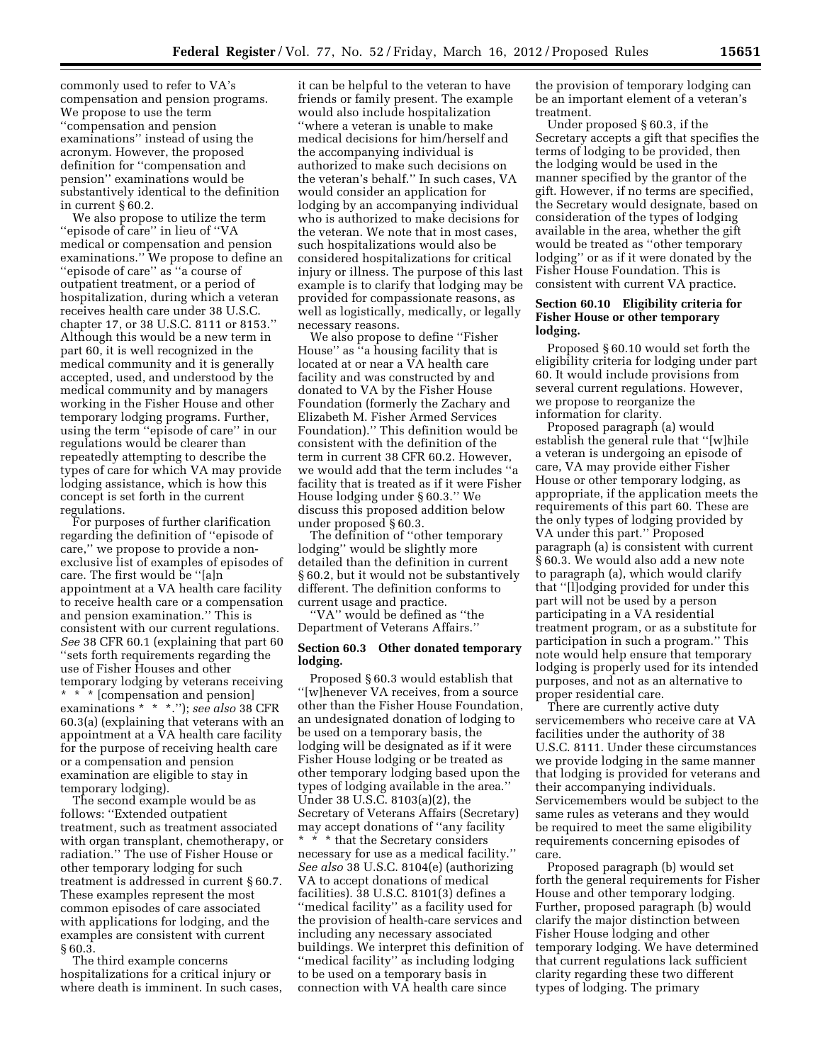commonly used to refer to VA's compensation and pension programs. We propose to use the term ''compensation and pension examinations'' instead of using the acronym. However, the proposed definition for ''compensation and pension'' examinations would be substantively identical to the definition in current § 60.2.

We also propose to utilize the term ''episode of care'' in lieu of ''VA medical or compensation and pension examinations.'' We propose to define an ''episode of care'' as ''a course of outpatient treatment, or a period of hospitalization, during which a veteran receives health care under 38 U.S.C. chapter 17, or 38 U.S.C. 8111 or 8153.'' Although this would be a new term in part 60, it is well recognized in the medical community and it is generally accepted, used, and understood by the medical community and by managers working in the Fisher House and other temporary lodging programs. Further, using the term ''episode of care'' in our regulations would be clearer than repeatedly attempting to describe the types of care for which VA may provide lodging assistance, which is how this concept is set forth in the current regulations.

For purposes of further clarification regarding the definition of ''episode of care,'' we propose to provide a nonexclusive list of examples of episodes of care. The first would be ''[a]n appointment at a VA health care facility to receive health care or a compensation and pension examination.'' This is consistent with our current regulations. *See* 38 CFR 60.1 (explaining that part 60 ''sets forth requirements regarding the use of Fisher Houses and other temporary lodging by veterans receiving \* \* \* [compensation and pension] examinations \* \* \*.''); *see also* 38 CFR 60.3(a) (explaining that veterans with an appointment at a VA health care facility for the purpose of receiving health care or a compensation and pension examination are eligible to stay in temporary lodging).

The second example would be as follows: ''Extended outpatient treatment, such as treatment associated with organ transplant, chemotherapy, or radiation.'' The use of Fisher House or other temporary lodging for such treatment is addressed in current § 60.7. These examples represent the most common episodes of care associated with applications for lodging, and the examples are consistent with current § 60.3.

The third example concerns hospitalizations for a critical injury or where death is imminent. In such cases,

it can be helpful to the veteran to have friends or family present. The example would also include hospitalization ''where a veteran is unable to make medical decisions for him/herself and the accompanying individual is authorized to make such decisions on the veteran's behalf.'' In such cases, VA would consider an application for lodging by an accompanying individual who is authorized to make decisions for the veteran. We note that in most cases, such hospitalizations would also be considered hospitalizations for critical injury or illness. The purpose of this last example is to clarify that lodging may be provided for compassionate reasons, as well as logistically, medically, or legally necessary reasons.

We also propose to define ''Fisher House'' as ''a housing facility that is located at or near a VA health care facility and was constructed by and donated to VA by the Fisher House Foundation (formerly the Zachary and Elizabeth M. Fisher Armed Services Foundation).'' This definition would be consistent with the definition of the term in current 38 CFR 60.2. However, we would add that the term includes ''a facility that is treated as if it were Fisher House lodging under § 60.3.'' We discuss this proposed addition below under proposed § 60.3.

The definition of ''other temporary lodging'' would be slightly more detailed than the definition in current § 60.2, but it would not be substantively different. The definition conforms to current usage and practice.

''VA'' would be defined as ''the Department of Veterans Affairs.''

### **Section 60.3 Other donated temporary lodging.**

Proposed § 60.3 would establish that ''[w]henever VA receives, from a source other than the Fisher House Foundation, an undesignated donation of lodging to be used on a temporary basis, the lodging will be designated as if it were Fisher House lodging or be treated as other temporary lodging based upon the types of lodging available in the area.'' Under 38 U.S.C. 8103(a)(2), the Secretary of Veterans Affairs (Secretary) may accept donations of ''any facility \* \* \* that the Secretary considers necessary for use as a medical facility.'' *See also* 38 U.S.C. 8104(e) (authorizing VA to accept donations of medical facilities). 38 U.S.C. 8101(3) defines a ''medical facility'' as a facility used for the provision of health-care services and including any necessary associated buildings. We interpret this definition of ''medical facility'' as including lodging to be used on a temporary basis in connection with VA health care since

the provision of temporary lodging can be an important element of a veteran's treatment.

Under proposed § 60.3, if the Secretary accepts a gift that specifies the terms of lodging to be provided, then the lodging would be used in the manner specified by the grantor of the gift. However, if no terms are specified, the Secretary would designate, based on consideration of the types of lodging available in the area, whether the gift would be treated as ''other temporary lodging'' or as if it were donated by the Fisher House Foundation. This is consistent with current VA practice.

## **Section 60.10 Eligibility criteria for Fisher House or other temporary lodging.**

Proposed § 60.10 would set forth the eligibility criteria for lodging under part 60. It would include provisions from several current regulations. However, we propose to reorganize the information for clarity.

Proposed paragraph (a) would establish the general rule that ''[w]hile a veteran is undergoing an episode of care, VA may provide either Fisher House or other temporary lodging, as appropriate, if the application meets the requirements of this part 60. These are the only types of lodging provided by VA under this part.'' Proposed paragraph (a) is consistent with current § 60.3. We would also add a new note to paragraph (a), which would clarify that ''[l]odging provided for under this part will not be used by a person participating in a VA residential treatment program, or as a substitute for participation in such a program.'' This note would help ensure that temporary lodging is properly used for its intended purposes, and not as an alternative to proper residential care.

There are currently active duty servicemembers who receive care at VA facilities under the authority of 38 U.S.C. 8111. Under these circumstances we provide lodging in the same manner that lodging is provided for veterans and their accompanying individuals. Servicemembers would be subject to the same rules as veterans and they would be required to meet the same eligibility requirements concerning episodes of care.

Proposed paragraph (b) would set forth the general requirements for Fisher House and other temporary lodging. Further, proposed paragraph (b) would clarify the major distinction between Fisher House lodging and other temporary lodging. We have determined that current regulations lack sufficient clarity regarding these two different types of lodging. The primary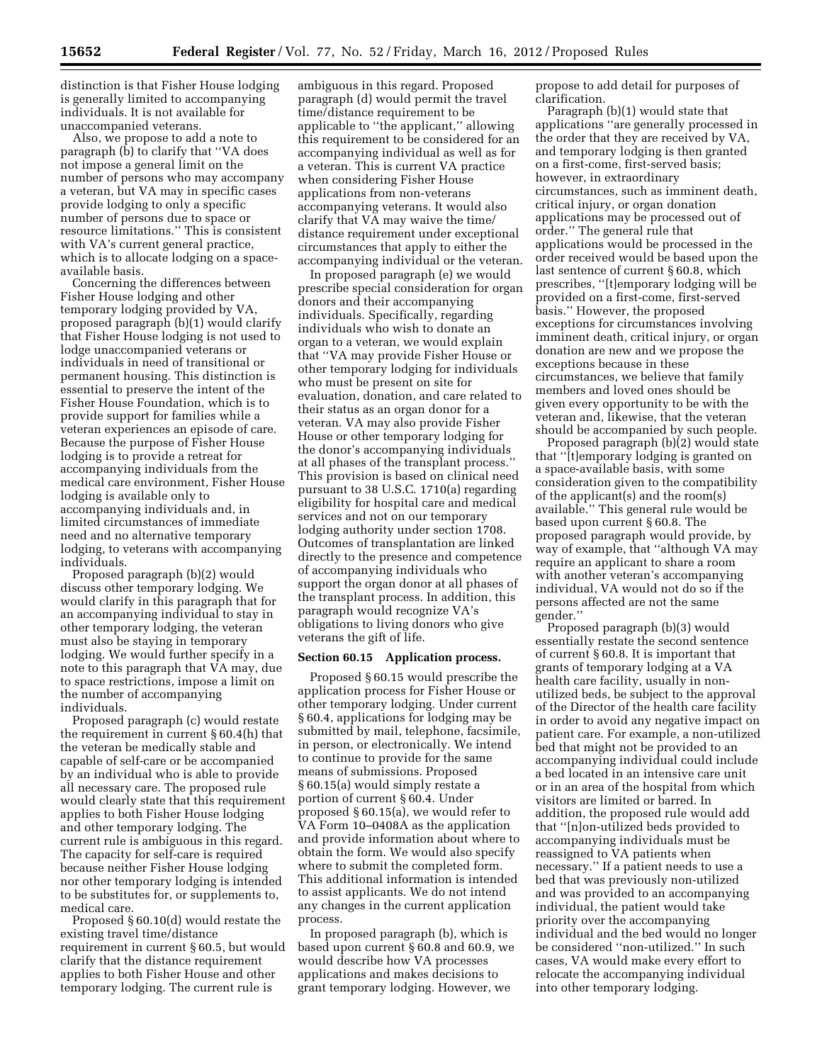distinction is that Fisher House lodging is generally limited to accompanying individuals. It is not available for unaccompanied veterans.

Also, we propose to add a note to paragraph (b) to clarify that ''VA does not impose a general limit on the number of persons who may accompany a veteran, but VA may in specific cases provide lodging to only a specific number of persons due to space or resource limitations.'' This is consistent with VA's current general practice, which is to allocate lodging on a spaceavailable basis.

Concerning the differences between Fisher House lodging and other temporary lodging provided by VA, proposed paragraph (b)(1) would clarify that Fisher House lodging is not used to lodge unaccompanied veterans or individuals in need of transitional or permanent housing. This distinction is essential to preserve the intent of the Fisher House Foundation, which is to provide support for families while a veteran experiences an episode of care. Because the purpose of Fisher House lodging is to provide a retreat for accompanying individuals from the medical care environment, Fisher House lodging is available only to accompanying individuals and, in limited circumstances of immediate need and no alternative temporary lodging, to veterans with accompanying individuals.

Proposed paragraph (b)(2) would discuss other temporary lodging. We would clarify in this paragraph that for an accompanying individual to stay in other temporary lodging, the veteran must also be staying in temporary lodging. We would further specify in a note to this paragraph that VA may, due to space restrictions, impose a limit on the number of accompanying individuals.

Proposed paragraph (c) would restate the requirement in current § 60.4(h) that the veteran be medically stable and capable of self-care or be accompanied by an individual who is able to provide all necessary care. The proposed rule would clearly state that this requirement applies to both Fisher House lodging and other temporary lodging. The current rule is ambiguous in this regard. The capacity for self-care is required because neither Fisher House lodging nor other temporary lodging is intended to be substitutes for, or supplements to, medical care.

Proposed § 60.10(d) would restate the existing travel time/distance requirement in current § 60.5, but would clarify that the distance requirement applies to both Fisher House and other temporary lodging. The current rule is

ambiguous in this regard. Proposed paragraph (d) would permit the travel time/distance requirement to be applicable to ''the applicant,'' allowing this requirement to be considered for an accompanying individual as well as for a veteran. This is current VA practice when considering Fisher House applications from non-veterans accompanying veterans. It would also clarify that VA may waive the time/ distance requirement under exceptional circumstances that apply to either the accompanying individual or the veteran.

In proposed paragraph (e) we would prescribe special consideration for organ donors and their accompanying individuals. Specifically, regarding individuals who wish to donate an organ to a veteran, we would explain that ''VA may provide Fisher House or other temporary lodging for individuals who must be present on site for evaluation, donation, and care related to their status as an organ donor for a veteran. VA may also provide Fisher House or other temporary lodging for the donor's accompanying individuals at all phases of the transplant process.'' This provision is based on clinical need pursuant to 38 U.S.C. 1710(a) regarding eligibility for hospital care and medical services and not on our temporary lodging authority under section 1708. Outcomes of transplantation are linked directly to the presence and competence of accompanying individuals who support the organ donor at all phases of the transplant process. In addition, this paragraph would recognize VA's obligations to living donors who give veterans the gift of life.

#### **Section 60.15 Application process.**

Proposed § 60.15 would prescribe the application process for Fisher House or other temporary lodging. Under current § 60.4, applications for lodging may be submitted by mail, telephone, facsimile, in person, or electronically. We intend to continue to provide for the same means of submissions. Proposed § 60.15(a) would simply restate a portion of current § 60.4. Under proposed § 60.15(a), we would refer to VA Form 10–0408A as the application and provide information about where to obtain the form. We would also specify where to submit the completed form. This additional information is intended to assist applicants. We do not intend any changes in the current application process.

In proposed paragraph (b), which is based upon current § 60.8 and 60.9, we would describe how VA processes applications and makes decisions to grant temporary lodging. However, we

propose to add detail for purposes of clarification.

Paragraph (b)(1) would state that applications ''are generally processed in the order that they are received by VA, and temporary lodging is then granted on a first-come, first-served basis; however, in extraordinary circumstances, such as imminent death, critical injury, or organ donation applications may be processed out of order.'' The general rule that applications would be processed in the order received would be based upon the last sentence of current § 60.8, which prescribes, ''[t]emporary lodging will be provided on a first-come, first-served basis.'' However, the proposed exceptions for circumstances involving imminent death, critical injury, or organ donation are new and we propose the exceptions because in these circumstances, we believe that family members and loved ones should be given every opportunity to be with the veteran and, likewise, that the veteran should be accompanied by such people.

Proposed paragraph (b)(2) would state that ''[t]emporary lodging is granted on a space-available basis, with some consideration given to the compatibility of the applicant(s) and the room(s) available.'' This general rule would be based upon current § 60.8. The proposed paragraph would provide, by way of example, that ''although VA may require an applicant to share a room with another veteran's accompanying individual, VA would not do so if the persons affected are not the same gender.''

Proposed paragraph (b)(3) would essentially restate the second sentence of current § 60.8. It is important that grants of temporary lodging at a VA health care facility, usually in nonutilized beds, be subject to the approval of the Director of the health care facility in order to avoid any negative impact on patient care. For example, a non-utilized bed that might not be provided to an accompanying individual could include a bed located in an intensive care unit or in an area of the hospital from which visitors are limited or barred. In addition, the proposed rule would add that ''[n]on-utilized beds provided to accompanying individuals must be reassigned to VA patients when necessary.'' If a patient needs to use a bed that was previously non-utilized and was provided to an accompanying individual, the patient would take priority over the accompanying individual and the bed would no longer be considered ''non-utilized.'' In such cases, VA would make every effort to relocate the accompanying individual into other temporary lodging.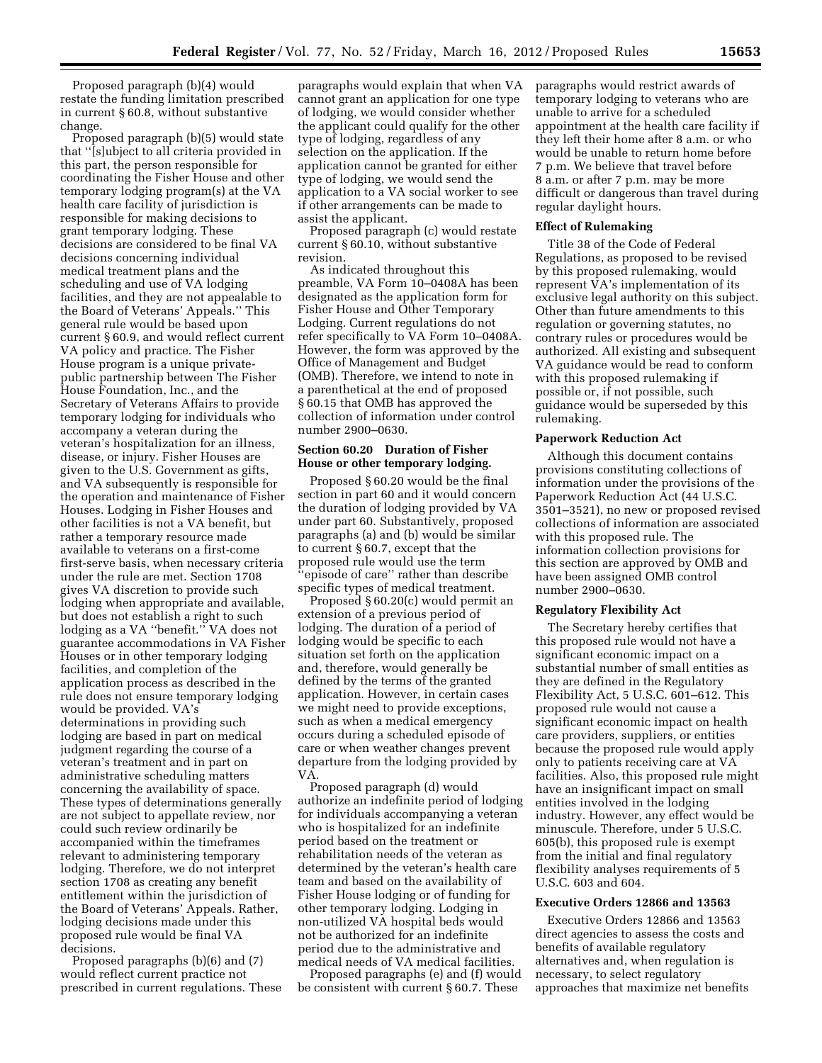Proposed paragraph (b)(4) would restate the funding limitation prescribed in current § 60.8, without substantive change.

Proposed paragraph (b)(5) would state that ''[s]ubject to all criteria provided in this part, the person responsible for coordinating the Fisher House and other temporary lodging program(s) at the VA health care facility of jurisdiction is responsible for making decisions to grant temporary lodging. These decisions are considered to be final VA decisions concerning individual medical treatment plans and the scheduling and use of VA lodging facilities, and they are not appealable to the Board of Veterans' Appeals.'' This general rule would be based upon current § 60.9, and would reflect current VA policy and practice. The Fisher House program is a unique privatepublic partnership between The Fisher House Foundation, Inc., and the Secretary of Veterans Affairs to provide temporary lodging for individuals who accompany a veteran during the veteran's hospitalization for an illness, disease, or injury. Fisher Houses are given to the U.S. Government as gifts, and VA subsequently is responsible for the operation and maintenance of Fisher Houses. Lodging in Fisher Houses and other facilities is not a VA benefit, but rather a temporary resource made available to veterans on a first-come first-serve basis, when necessary criteria under the rule are met. Section 1708 gives VA discretion to provide such lodging when appropriate and available, but does not establish a right to such lodging as a VA ''benefit.'' VA does not guarantee accommodations in VA Fisher Houses or in other temporary lodging facilities, and completion of the application process as described in the rule does not ensure temporary lodging would be provided. VA's determinations in providing such lodging are based in part on medical judgment regarding the course of a veteran's treatment and in part on administrative scheduling matters concerning the availability of space. These types of determinations generally are not subject to appellate review, nor could such review ordinarily be accompanied within the timeframes relevant to administering temporary lodging. Therefore, we do not interpret section 1708 as creating any benefit entitlement within the jurisdiction of the Board of Veterans' Appeals. Rather, lodging decisions made under this proposed rule would be final VA decisions.

Proposed paragraphs (b)(6) and (7) would reflect current practice not prescribed in current regulations. These

paragraphs would explain that when VA cannot grant an application for one type of lodging, we would consider whether the applicant could qualify for the other type of lodging, regardless of any selection on the application. If the application cannot be granted for either type of lodging, we would send the application to a VA social worker to see if other arrangements can be made to assist the applicant.

Proposed paragraph (c) would restate current § 60.10, without substantive revision.

As indicated throughout this preamble, VA Form 10–0408A has been designated as the application form for Fisher House and Other Temporary Lodging. Current regulations do not refer specifically to VA Form 10–0408A. However, the form was approved by the Office of Management and Budget (OMB). Therefore, we intend to note in a parenthetical at the end of proposed § 60.15 that OMB has approved the collection of information under control number 2900–0630.

## **Section 60.20 Duration of Fisher House or other temporary lodging.**

Proposed § 60.20 would be the final section in part 60 and it would concern the duration of lodging provided by VA under part 60. Substantively, proposed paragraphs (a) and (b) would be similar to current § 60.7, except that the proposed rule would use the term 'episode of care'' rather than describe specific types of medical treatment.

Proposed § 60.20(c) would permit an extension of a previous period of lodging. The duration of a period of lodging would be specific to each situation set forth on the application and, therefore, would generally be defined by the terms of the granted application. However, in certain cases we might need to provide exceptions, such as when a medical emergency occurs during a scheduled episode of care or when weather changes prevent departure from the lodging provided by VA.

Proposed paragraph (d) would authorize an indefinite period of lodging for individuals accompanying a veteran who is hospitalized for an indefinite period based on the treatment or rehabilitation needs of the veteran as determined by the veteran's health care team and based on the availability of Fisher House lodging or of funding for other temporary lodging. Lodging in non-utilized VA hospital beds would not be authorized for an indefinite period due to the administrative and medical needs of VA medical facilities.

Proposed paragraphs (e) and (f) would be consistent with current § 60.7. These

paragraphs would restrict awards of temporary lodging to veterans who are unable to arrive for a scheduled appointment at the health care facility if they left their home after 8 a.m. or who would be unable to return home before 7 p.m. We believe that travel before 8 a.m. or after 7 p.m. may be more difficult or dangerous than travel during regular daylight hours.

## **Effect of Rulemaking**

Title 38 of the Code of Federal Regulations, as proposed to be revised by this proposed rulemaking, would represent VA's implementation of its exclusive legal authority on this subject. Other than future amendments to this regulation or governing statutes, no contrary rules or procedures would be authorized. All existing and subsequent VA guidance would be read to conform with this proposed rulemaking if possible or, if not possible, such guidance would be superseded by this rulemaking.

# **Paperwork Reduction Act**

Although this document contains provisions constituting collections of information under the provisions of the Paperwork Reduction Act (44 U.S.C. 3501–3521), no new or proposed revised collections of information are associated with this proposed rule. The information collection provisions for this section are approved by OMB and have been assigned OMB control number 2900–0630.

#### **Regulatory Flexibility Act**

The Secretary hereby certifies that this proposed rule would not have a significant economic impact on a substantial number of small entities as they are defined in the Regulatory Flexibility Act, 5 U.S.C. 601–612. This proposed rule would not cause a significant economic impact on health care providers, suppliers, or entities because the proposed rule would apply only to patients receiving care at VA facilities. Also, this proposed rule might have an insignificant impact on small entities involved in the lodging industry. However, any effect would be minuscule. Therefore, under 5 U.S.C. 605(b), this proposed rule is exempt from the initial and final regulatory flexibility analyses requirements of 5 U.S.C. 603 and 604.

### **Executive Orders 12866 and 13563**

Executive Orders 12866 and 13563 direct agencies to assess the costs and benefits of available regulatory alternatives and, when regulation is necessary, to select regulatory approaches that maximize net benefits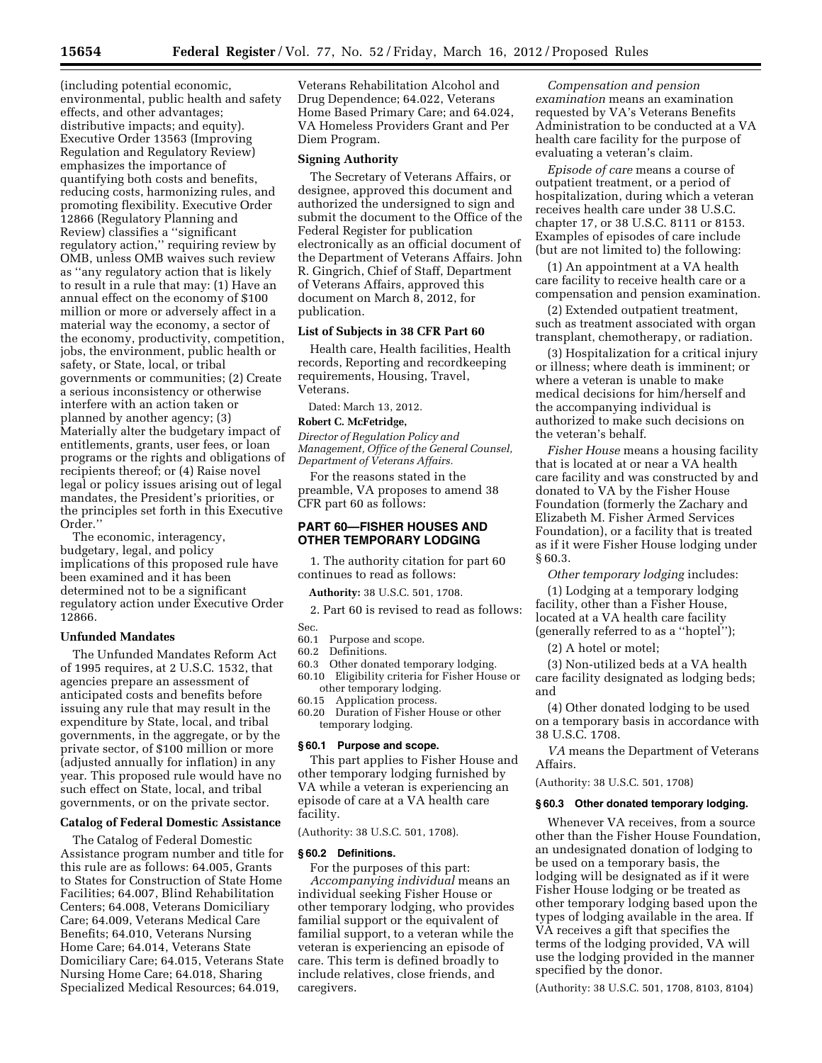(including potential economic, environmental, public health and safety effects, and other advantages; distributive impacts; and equity). Executive Order 13563 (Improving Regulation and Regulatory Review) emphasizes the importance of quantifying both costs and benefits, reducing costs, harmonizing rules, and promoting flexibility. Executive Order 12866 (Regulatory Planning and Review) classifies a ''significant regulatory action,'' requiring review by OMB, unless OMB waives such review as ''any regulatory action that is likely to result in a rule that may: (1) Have an annual effect on the economy of \$100 million or more or adversely affect in a material way the economy, a sector of the economy, productivity, competition, jobs, the environment, public health or safety, or State, local, or tribal governments or communities; (2) Create a serious inconsistency or otherwise interfere with an action taken or planned by another agency; (3) Materially alter the budgetary impact of entitlements, grants, user fees, or loan programs or the rights and obligations of recipients thereof; or (4) Raise novel legal or policy issues arising out of legal mandates, the President's priorities, or the principles set forth in this Executive Order.''

The economic, interagency, budgetary, legal, and policy implications of this proposed rule have been examined and it has been determined not to be a significant regulatory action under Executive Order 12866.

### **Unfunded Mandates**

The Unfunded Mandates Reform Act of 1995 requires, at 2 U.S.C. 1532, that agencies prepare an assessment of anticipated costs and benefits before issuing any rule that may result in the expenditure by State, local, and tribal governments, in the aggregate, or by the private sector, of \$100 million or more (adjusted annually for inflation) in any year. This proposed rule would have no such effect on State, local, and tribal governments, or on the private sector.

# **Catalog of Federal Domestic Assistance**

The Catalog of Federal Domestic Assistance program number and title for this rule are as follows: 64.005, Grants to States for Construction of State Home Facilities; 64.007, Blind Rehabilitation Centers; 64.008, Veterans Domiciliary Care; 64.009, Veterans Medical Care Benefits; 64.010, Veterans Nursing Home Care; 64.014, Veterans State Domiciliary Care; 64.015, Veterans State Nursing Home Care; 64.018, Sharing Specialized Medical Resources; 64.019,

Veterans Rehabilitation Alcohol and Drug Dependence; 64.022, Veterans Home Based Primary Care; and 64.024, VA Homeless Providers Grant and Per Diem Program.

#### **Signing Authority**

The Secretary of Veterans Affairs, or designee, approved this document and authorized the undersigned to sign and submit the document to the Office of the Federal Register for publication electronically as an official document of the Department of Veterans Affairs. John R. Gingrich, Chief of Staff, Department of Veterans Affairs, approved this document on March 8, 2012, for publication.

## **List of Subjects in 38 CFR Part 60**

Health care, Health facilities, Health records, Reporting and recordkeeping requirements, Housing, Travel, Veterans.

Dated: March 13, 2012.

### **Robert C. McFetridge,**

*Director of Regulation Policy and Management, Office of the General Counsel, Department of Veterans Affairs.* 

For the reasons stated in the preamble, VA proposes to amend 38 CFR part 60 as follows:

### **PART 60—FISHER HOUSES AND OTHER TEMPORARY LODGING**

1. The authority citation for part 60 continues to read as follows:

**Authority:** 38 U.S.C. 501, 1708.

2. Part 60 is revised to read as follows:

Sec.

- 60.1 Purpose and scope.
- 60.2 Definitions.
- 60.3 Other donated temporary lodging. 60.10 Eligibility criteria for Fisher House or other temporary lodging.

60.15 Application process.

60.20 Duration of Fisher House or other temporary lodging.

#### **§ 60.1 Purpose and scope.**

This part applies to Fisher House and other temporary lodging furnished by VA while a veteran is experiencing an episode of care at a VA health care facility.

(Authority: 38 U.S.C. 501, 1708).

#### **§ 60.2 Definitions.**

For the purposes of this part: *Accompanying individual* means an individual seeking Fisher House or other temporary lodging, who provides familial support or the equivalent of familial support, to a veteran while the veteran is experiencing an episode of care. This term is defined broadly to include relatives, close friends, and caregivers.

*Compensation and pension examination* means an examination requested by VA's Veterans Benefits Administration to be conducted at a VA health care facility for the purpose of evaluating a veteran's claim.

*Episode of care* means a course of outpatient treatment, or a period of hospitalization, during which a veteran receives health care under 38 U.S.C. chapter 17, or 38 U.S.C. 8111 or 8153. Examples of episodes of care include (but are not limited to) the following:

(1) An appointment at a VA health care facility to receive health care or a compensation and pension examination.

(2) Extended outpatient treatment, such as treatment associated with organ transplant, chemotherapy, or radiation.

(3) Hospitalization for a critical injury or illness; where death is imminent; or where a veteran is unable to make medical decisions for him/herself and the accompanying individual is authorized to make such decisions on the veteran's behalf.

*Fisher House* means a housing facility that is located at or near a VA health care facility and was constructed by and donated to VA by the Fisher House Foundation (formerly the Zachary and Elizabeth M. Fisher Armed Services Foundation), or a facility that is treated as if it were Fisher House lodging under § 60.3.

*Other temporary lodging* includes:

(1) Lodging at a temporary lodging facility, other than a Fisher House, located at a VA health care facility (generally referred to as a ''hoptel'');

(2) A hotel or motel;

(3) Non-utilized beds at a VA health care facility designated as lodging beds; and

(4) Other donated lodging to be used on a temporary basis in accordance with 38 U.S.C. 1708.

*VA* means the Department of Veterans Affairs.

(Authority: 38 U.S.C. 501, 1708)

#### **§ 60.3 Other donated temporary lodging.**

Whenever VA receives, from a source other than the Fisher House Foundation, an undesignated donation of lodging to be used on a temporary basis, the lodging will be designated as if it were Fisher House lodging or be treated as other temporary lodging based upon the types of lodging available in the area. If VA receives a gift that specifies the terms of the lodging provided, VA will use the lodging provided in the manner specified by the donor.

(Authority: 38 U.S.C. 501, 1708, 8103, 8104)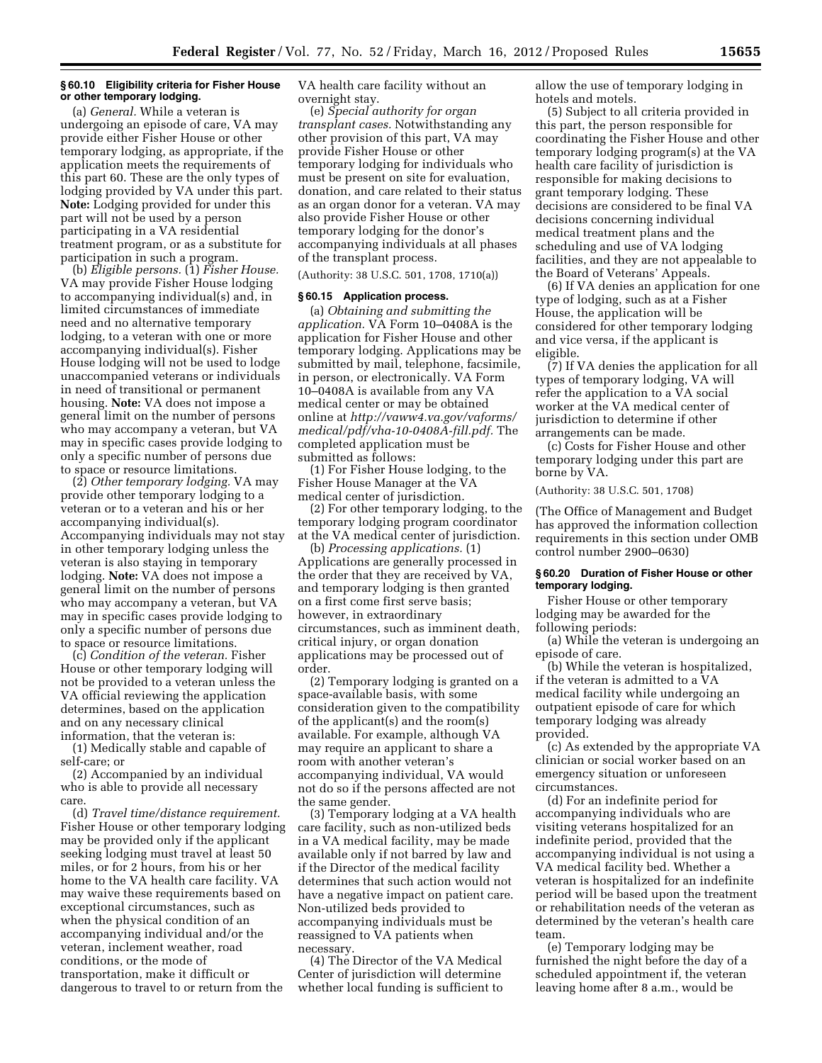### **§ 60.10 Eligibility criteria for Fisher House or other temporary lodging.**

(a) *General.* While a veteran is undergoing an episode of care, VA may provide either Fisher House or other temporary lodging, as appropriate, if the application meets the requirements of this part 60. These are the only types of lodging provided by VA under this part. **Note:** Lodging provided for under this part will not be used by a person participating in a VA residential treatment program, or as a substitute for participation in such a program.

(b) *Eligible persons.* (1) *Fisher House.*  VA may provide Fisher House lodging to accompanying individual(s) and, in limited circumstances of immediate need and no alternative temporary lodging, to a veteran with one or more accompanying individual(s). Fisher House lodging will not be used to lodge unaccompanied veterans or individuals in need of transitional or permanent housing. **Note:** VA does not impose a general limit on the number of persons who may accompany a veteran, but VA may in specific cases provide lodging to only a specific number of persons due to space or resource limitations.

(2) *Other temporary lodging.* VA may provide other temporary lodging to a veteran or to a veteran and his or her accompanying individual(s). Accompanying individuals may not stay in other temporary lodging unless the veteran is also staying in temporary lodging. **Note:** VA does not impose a general limit on the number of persons who may accompany a veteran, but VA may in specific cases provide lodging to only a specific number of persons due to space or resource limitations.

(c) *Condition of the veteran.* Fisher House or other temporary lodging will not be provided to a veteran unless the VA official reviewing the application determines, based on the application and on any necessary clinical information, that the veteran is:

(1) Medically stable and capable of self-care; or

(2) Accompanied by an individual who is able to provide all necessary care.

(d) *Travel time/distance requirement.*  Fisher House or other temporary lodging may be provided only if the applicant seeking lodging must travel at least 50 miles, or for 2 hours, from his or her home to the VA health care facility. VA may waive these requirements based on exceptional circumstances, such as when the physical condition of an accompanying individual and/or the veteran, inclement weather, road conditions, or the mode of transportation, make it difficult or dangerous to travel to or return from the

VA health care facility without an overnight stay.

(e) *Special authority for organ transplant cases.* Notwithstanding any other provision of this part, VA may provide Fisher House or other temporary lodging for individuals who must be present on site for evaluation, donation, and care related to their status as an organ donor for a veteran. VA may also provide Fisher House or other temporary lodging for the donor's accompanying individuals at all phases of the transplant process.

(Authority: 38 U.S.C. 501, 1708, 1710(a))

#### **§ 60.15 Application process.**

(a) *Obtaining and submitting the application.* VA Form 10–0408A is the application for Fisher House and other temporary lodging. Applications may be submitted by mail, telephone, facsimile, in person, or electronically. VA Form 10–0408A is available from any VA medical center or may be obtained online at *http://vaww4.va.gov/vaforms/ [medical/pdf/vha-10-0408A-fill.pdf.](http://vaww4.va.gov/vaforms/medical/pd/vha-10-0408A-fill.pdf)* The completed application must be submitted as follows:

(1) For Fisher House lodging, to the Fisher House Manager at the VA medical center of jurisdiction.

(2) For other temporary lodging, to the temporary lodging program coordinator at the VA medical center of jurisdiction.

(b) *Processing applications.* (1) Applications are generally processed in the order that they are received by VA, and temporary lodging is then granted on a first come first serve basis; however, in extraordinary circumstances, such as imminent death, critical injury, or organ donation applications may be processed out of order.

(2) Temporary lodging is granted on a space-available basis, with some consideration given to the compatibility of the applicant(s) and the room(s) available. For example, although VA may require an applicant to share a room with another veteran's accompanying individual, VA would not do so if the persons affected are not the same gender.

(3) Temporary lodging at a VA health care facility, such as non-utilized beds in a VA medical facility, may be made available only if not barred by law and if the Director of the medical facility determines that such action would not have a negative impact on patient care. Non-utilized beds provided to accompanying individuals must be reassigned to VA patients when necessary.

(4) The Director of the VA Medical Center of jurisdiction will determine whether local funding is sufficient to allow the use of temporary lodging in hotels and motels.

(5) Subject to all criteria provided in this part, the person responsible for coordinating the Fisher House and other temporary lodging program(s) at the VA health care facility of jurisdiction is responsible for making decisions to grant temporary lodging. These decisions are considered to be final VA decisions concerning individual medical treatment plans and the scheduling and use of VA lodging facilities, and they are not appealable to the Board of Veterans' Appeals.

(6) If VA denies an application for one type of lodging, such as at a Fisher House, the application will be considered for other temporary lodging and vice versa, if the applicant is eligible.

(7) If VA denies the application for all types of temporary lodging, VA will refer the application to a VA social worker at the VA medical center of jurisdiction to determine if other arrangements can be made.

(c) Costs for Fisher House and other temporary lodging under this part are borne by VA.

(Authority: 38 U.S.C. 501, 1708)

(The Office of Management and Budget has approved the information collection requirements in this section under OMB control number 2900–0630)

### **§ 60.20 Duration of Fisher House or other temporary lodging.**

Fisher House or other temporary lodging may be awarded for the following periods:

(a) While the veteran is undergoing an episode of care.

(b) While the veteran is hospitalized, if the veteran is admitted to a VA medical facility while undergoing an outpatient episode of care for which temporary lodging was already provided.

(c) As extended by the appropriate VA clinician or social worker based on an emergency situation or unforeseen circumstances.

(d) For an indefinite period for accompanying individuals who are visiting veterans hospitalized for an indefinite period, provided that the accompanying individual is not using a VA medical facility bed. Whether a veteran is hospitalized for an indefinite period will be based upon the treatment or rehabilitation needs of the veteran as determined by the veteran's health care team.

(e) Temporary lodging may be furnished the night before the day of a scheduled appointment if, the veteran leaving home after 8 a.m., would be